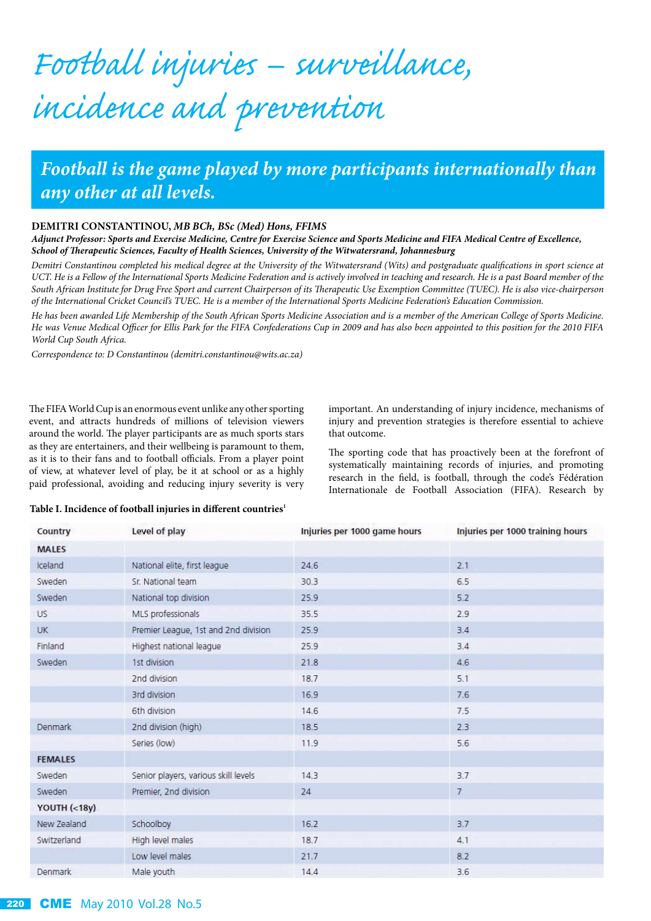# *Football injuries – surveillance, incidence and prevention*

# *Football is the game played by more participants internationally than any other at all levels.*

### **DEMITRI CONSTANTINOU,** *MB BCh, BSc (Med) Hons, FFIMS*

*Adjunct Professor: Sports and Exercise Medicine, Centre for Exercise Science and Sports Medicine and FIFA Medical Centre of Excellence, School of Therapeutic Sciences, Faculty of Health Sciences, University of the Witwatersrand, Johannesburg* 

*Demitri Constantinou completed his medical degree at the University of the Witwatersrand (Wits) and postgraduate qualifications in sport science at*  UCT. He is a Fellow of the International Sports Medicine Federation and is actively involved in teaching and research. He is a past Board member of the *South African Institute for Drug Free Sport and current Chairperson of its Therapeutic Use Exemption Committee (TUEC). He is also vice-chairperson of the International Cricket Council's TUEC. He is a member of the International Sports Medicine Federation's Education Commission.*

*He has been awarded Life Membership of the South African Sports Medicine Association and is a member of the American College of Sports Medicine. He was Venue Medical Officer for Ellis Park for the FIFA Confederations Cup in 2009 and has also been appointed to this position for the 2010 FIFA World Cup South Africa.* 

*Correspondence to: D Constantinou (demitri.constantinou@wits.ac.za)*

The FIFA World Cup is an enormous event unlike any other sporting event, and attracts hundreds of millions of television viewers around the world. The player participants are as much sports stars as they are entertainers, and their wellbeing is paramount to them, as it is to their fans and to football officials. From a player point of view, at whatever level of play, be it at school or as a highly paid professional, avoiding and reducing injury severity is very

important. An understanding of injury incidence, mechanisms of injury and prevention strategies is therefore essential to achieve that outcome.

The sporting code that has proactively been at the forefront of systematically maintaining records of injuries, and promoting research in the field, is football, through the code's Fédération Internationale de Football Association (FIFA). Research by

| Country        | Level of play                        | Injuries per 1000 game hours | Injuries per 1000 training hours |  |  |
|----------------|--------------------------------------|------------------------------|----------------------------------|--|--|
| <b>MALES</b>   |                                      |                              |                                  |  |  |
| Iceland        | National elite, first league         | 24.6                         | 2.1                              |  |  |
| Sweden         | Sr. National team                    | 30.3                         | 6.5                              |  |  |
| Sweden         | National top division                | 25.9                         | 5.2                              |  |  |
| US.            | MLS professionals                    | 35.5                         | 2.9                              |  |  |
| <b>UK</b>      | Premier League, 1st and 2nd division | 25.9                         | 3.4                              |  |  |
| Finland        | Highest national league              | 25.9                         | 3.4                              |  |  |
| Sweden         | 1st division                         | 21.8                         | 4.6                              |  |  |
|                | 2nd division                         | 18.7                         | 5.1                              |  |  |
|                | 3rd division                         | 16.9                         | 7.6                              |  |  |
|                | 6th division                         | 14.6                         | 7.5                              |  |  |
| <b>Denmark</b> | 2nd division (high)                  | 18.5                         | 2.3                              |  |  |
|                | Series (low)                         | 11.9                         | 5.6                              |  |  |
| <b>FEMALES</b> |                                      |                              |                                  |  |  |
| Sweden         | Senior players, various skill levels | 14.3                         | 3.7                              |  |  |
| Sweden         | Premier, 2nd division                | 24                           | 7                                |  |  |
| YOUTH $(<18y)$ |                                      |                              |                                  |  |  |
| New Zealand    | Schoolboy                            | 16.2                         | 3.7                              |  |  |
| Switzerland    | High level males                     | 18.7                         | 4.1                              |  |  |
|                | Low level males                      | 21.7                         | 8.2                              |  |  |
| Denmark        | Male youth                           | 14.4                         | 3.6                              |  |  |

**Table I. Incidence of football injuries in different countries1**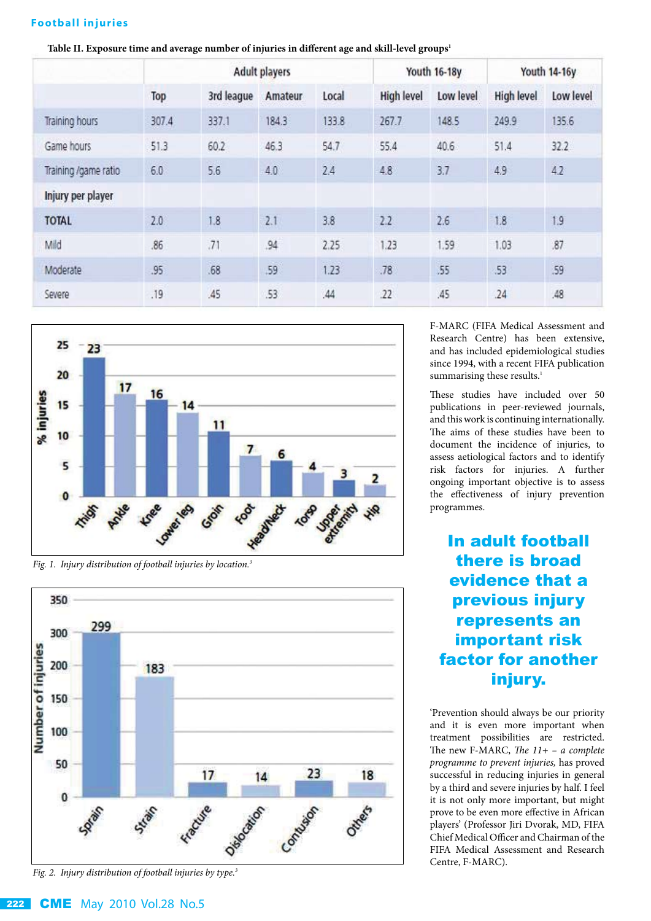### **Football injuries**

|                      | <b>Adult players</b> |            |         | <b>Youth 16-18y</b> |                   | Youth 14-16y        |                   |           |
|----------------------|----------------------|------------|---------|---------------------|-------------------|---------------------|-------------------|-----------|
|                      | Top                  | 3rd league | Amateur | Local               | <b>High level</b> | Low level           | <b>High level</b> | Low level |
| Training hours       | 307.4                | 337.1      | 184.3   | 133.8               | 267.7             | 148.5               | 249.9             | 135.6     |
| Game hours           | 51.3                 | 60.2       | 46.3    | 54.7                | 55.4              | 40.6                | 51.4              | 32.2      |
| Training /game ratio | 6.0                  | 5.6        | 4.0     | 2.4                 | -1202<br>4.8      | <b>DOM:N</b><br>3.7 | 4.9               | 4.2       |
| Injury per player    |                      |            |         |                     |                   |                     |                   |           |
| <b>TOTAL</b>         | 2.0                  | 1.8        | 2.1     | 3.8.                | 2.2               | 2.6                 | 1.8               | 1.9       |
| Mild                 | .86                  | .71        | 94      | 2.25                | 1.23              | 1.59                | 1.03              | .87       |
| Moderate             | .95                  | .68        | 59      | 1.23                | .78               | .55                 | .53               | .59       |
| Severe               | .19                  | .45        | .53     | .44                 | .22               | .45                 | .24               | .48       |

Table II. Exposure time and average number of injuries in different age and skill-level groups<sup>1</sup>



*Fig. 1. Injury distribution of football injuries by location.3*



*Fig. 2. Injury distribution of football injuries by type.3*

F-MARC (FIFA Medical Assessment and Research Centre) has been extensive, and has included epidemiological studies since 1994, with a recent FIFA publication summarising these results.<sup>1</sup>

These studies have included over 50 publications in peer-reviewed journals, and this work is continuing internationally. The aims of these studies have been to document the incidence of injuries, to assess aetiological factors and to identify risk factors for injuries. A further ongoing important objective is to assess the effectiveness of injury prevention programmes.

In adult football there is broad evidence that a previous injury represents an important risk factor for another injury.

'Prevention should always be our priority and it is even more important when treatment possibilities are restricted. The new F-MARC, *The 11+ – a complete programme to prevent injuries,* has proved successful in reducing injuries in general by a third and severe injuries by half. I feel it is not only more important, but might prove to be even more effective in African players' (Professor Jiri Dvorak, MD, FIFA Chief Medical Officer and Chairman of the FIFA Medical Assessment and Research Centre, F-MARC).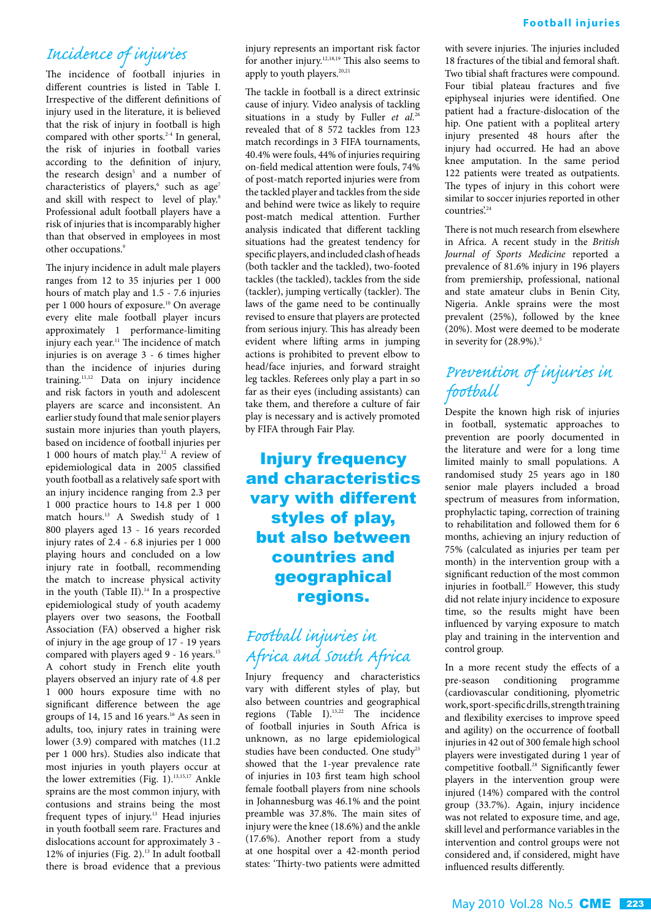# *Incidence of injuries*

The incidence of football injuries in different countries is listed in Table I. Irrespective of the different definitions of injury used in the literature, it is believed that the risk of injury in football is high compared with other sports.<sup>2-4</sup> In general, the risk of injuries in football varies according to the definition of injury, the research design<sup>5</sup> and a number of characteristics of players,<sup>6</sup> such as age<sup>7</sup> and skill with respect to level of play.<sup>8</sup> Professional adult football players have a risk of injuries that is incomparably higher than that observed in employees in most other occupations.<sup>9</sup>

The injury incidence in adult male players ranges from 12 to 35 injuries per 1 000 hours of match play and 1.5 - 7.6 injuries per 1 000 hours of exposure.<sup>10</sup> On average every elite male football player incurs approximately 1 performance-limiting injury each year.<sup>11</sup> The incidence of match injuries is on average 3 - 6 times higher than the incidence of injuries during training.<sup>11,12</sup> Data on injury incidence and risk factors in youth and adolescent players are scarce and inconsistent. An earlier study found that male senior players sustain more injuries than youth players, based on incidence of football injuries per 1 000 hours of match play.12 A review of epidemiological data in 2005 classified youth football as a relatively safe sport with an injury incidence ranging from 2.3 per 1 000 practice hours to 14.8 per 1 000 match hours.13 A Swedish study of 1 800 players aged 13 - 16 years recorded injury rates of 2.4 - 6.8 injuries per 1 000 playing hours and concluded on a low injury rate in football, recommending the match to increase physical activity in the youth (Table II). $14$  In a prospective epidemiological study of youth academy players over two seasons, the Football Association (FA) observed a higher risk of injury in the age group of 17 - 19 years compared with players aged 9 - 16 years.<sup>15</sup> A cohort study in French elite youth players observed an injury rate of 4.8 per 1 000 hours exposure time with no significant difference between the age groups of 14, 15 and 16 years.<sup>16</sup> As seen in adults, too, injury rates in training were lower (3.9) compared with matches (11.2 per 1 000 hrs). Studies also indicate that most injuries in youth players occur at the lower extremities (Fig. 1).13,15,17 Ankle sprains are the most common injury, with contusions and strains being the most frequent types of injury.<sup>13</sup> Head injuries in youth football seem rare. Fractures and dislocations account for approximately 3 - 12% of injuries (Fig. 2).<sup>13</sup> In adult football there is broad evidence that a previous

injury represents an important risk factor for another injury.12,18,19 This also seems to apply to youth players.<sup>20,21</sup>

The tackle in football is a direct extrinsic cause of injury. Video analysis of tackling situations in a study by Fuller *et al.*<sup>26</sup> revealed that of 8 572 tackles from 123 match recordings in 3 FIFA tournaments, 40.4% were fouls, 44% of injuries requiring on-field medical attention were fouls, 74% of post-match reported injuries were from the tackled player and tackles from the side and behind were twice as likely to require post-match medical attention. Further analysis indicated that different tackling situations had the greatest tendency for specific players, and included clash of heads (both tackler and the tackled), two-footed tackles (the tackled), tackles from the side (tackler), jumping vertically (tackler). The laws of the game need to be continually revised to ensure that players are protected from serious injury. This has already been evident where lifting arms in jumping actions is prohibited to prevent elbow to head/face injuries, and forward straight leg tackles. Referees only play a part in so far as their eyes (including assistants) can take them, and therefore a culture of fair play is necessary and is actively promoted by FIFA through Fair Play.

# Injury frequency and characteristics vary with different styles of play, but also between countries and geographical regions.

# *Football injuries in Africa and South Africa*

Injury frequency and characteristics vary with different styles of play, but also between countries and geographical regions (Table I).13,22 The incidence of football injuries in South Africa is unknown, as no large epidemiological studies have been conducted. One study<sup>23</sup> showed that the 1-year prevalence rate of injuries in 103 first team high school female football players from nine schools in Johannesburg was 46.1% and the point preamble was 37.8%. The main sites of injury were the knee (18.6%) and the ankle (17.6%). Another report from a study at one hospital over a 42-month period states: 'Thirty-two patients were admitted

with severe injuries. The injuries included 18 fractures of the tibial and femoral shaft. Two tibial shaft fractures were compound. Four tibial plateau fractures and five epiphyseal injuries were identified. One patient had a fracture-dislocation of the hip. One patient with a popliteal artery injury presented 48 hours after the injury had occurred. He had an above knee amputation. In the same period 122 patients were treated as outpatients. The types of injury in this cohort were similar to soccer injuries reported in other countries<sup>'24</sup>

There is not much research from elsewhere in Africa. A recent study in the *British Journal of Sports Medicine* reported a prevalence of 81.6% injury in 196 players from premiership, professional, national and state amateur clubs in Benin City, Nigeria. Ankle sprains were the most prevalent (25%), followed by the knee (20%). Most were deemed to be moderate in severity for  $(28.9\%)$ .<sup>5</sup>

# *Prevention of injuries in football*

Despite the known high risk of injuries in football, systematic approaches to prevention are poorly documented in the literature and were for a long time limited mainly to small populations. A randomised study 25 years ago in 180 senior male players included a broad spectrum of measures from information, prophylactic taping, correction of training to rehabilitation and followed them for 6 months, achieving an injury reduction of 75% (calculated as injuries per team per month) in the intervention group with a significant reduction of the most common injuries in football.<sup>27</sup> However, this study did not relate injury incidence to exposure time, so the results might have been influenced by varying exposure to match play and training in the intervention and control group.

In a more recent study the effects of a pre-season conditioning programme (cardiovascular conditioning, plyometric work, sport-specific drills, strength training and flexibility exercises to improve speed and agility) on the occurrence of football injuries in 42 out of 300 female high school players were investigated during 1 year of competitive football.<sup>28</sup> Significantly fewer players in the intervention group were injured (14%) compared with the control group (33.7%). Again, injury incidence was not related to exposure time, and age, skill level and performance variables in the intervention and control groups were not considered and, if considered, might have influenced results differently.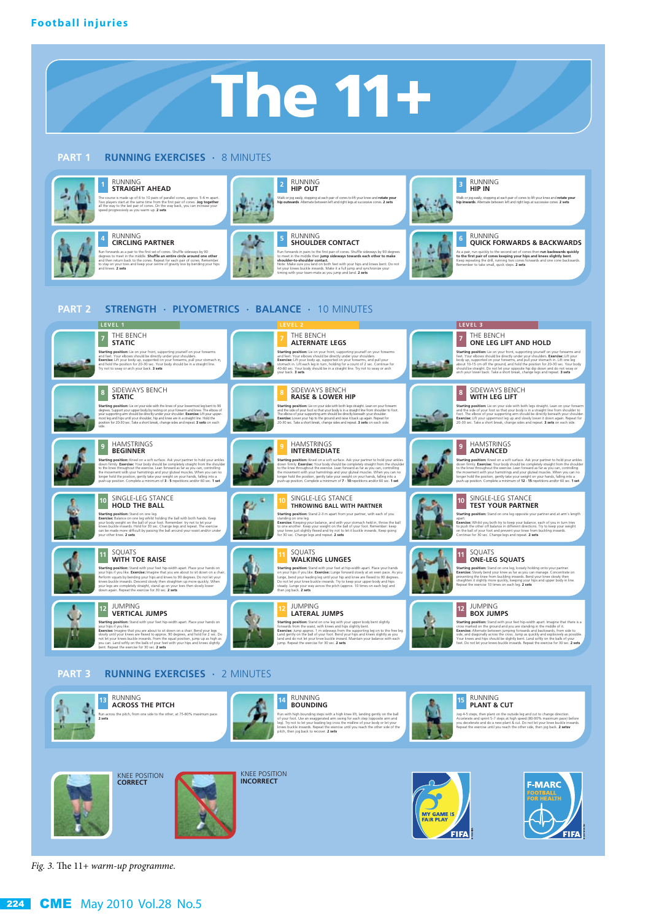### **Football injuries**



**2** RUNNING **HIP OUT**

**LEVEL 1 LEVEL 2 LEVEL 3**

your back. **3 sets**

**7** THE BENCH **ALTERNATE LEGS Starting position:** Lie on your front, supporting and feet. Your elbows should be directly under your shoulders. **Exercise:** Lift your body up, supported on your forearms, and pull your stomach in. Lift each leg in turn, holding for a count of 2 sec. Continue for 40-60 sec. Your body should be in a straight line. Try not to sway or arch

### **PART 1 RUNNING EXERCISES ·** 8 MINUTES



### RUNNING **STRAIGHT AHEAD**

The course is made up of 6 to 10 pairs of parallel cones, approx. 5-6 m apart.<br>Two players start at the same time from the first pair of cones. **Jog together**<br>all the way to the last pair of cones. On the way back, you can

Run forwards as a pair to the first set of cones. Shuffle sideways by 90



## RUNNING **CIRCLING PARTNER**

and knees. **2 sets**





# **SHOULDER CONTACT**

Walk or jog easily, stopping at each pair of cones to lift your knee and **rotate your hip outwards**. Alternate between left and right legs at successive cones. **2 sets**

**B** SIDEWAYS BENCH **RAISE & LOWER HIP RAISE & LOWER HIP RAISE & LOWER HIP** 

## **3** RUNNING **HIP IN**

Walk or jog easily, stopping at each pair of cones to lift your knee and **rotate your hip inwards**. Alternate between left and right legs at successive cones. **2 sets**



#### RUNNING **QUICK FORWARDS & BACKWARDS**

As a pair, run quickly to the second set of cones then **run backwards quickly**<br>to the first pair of cones keeping your hips and knees slightly bent.<br>Keep repeating the drill, running two cones forwards and one cone backwar Remember to take small, quick steps. **2 sets** 

### **PART 2 STRENGTH · PLYOMETRICS · BALANCE ·** 10 MINUTES



#### **7** THE BENCH **STATIC**

**Starting position:** Lie on your front, supporting yourself on your forearms and feet. Your elbows should be directly under your shoulders.<br>**Exercise:** Lift your body up, supported on your forearms, pull your stomach in,<br>and hold the position for 20-30 sec. Your body should be in a straight line.<br>T





#### **Starting position:** Lie on your side with the knee of your lowermost leg bent to 90 degrees. Support your upper body by resting on your forearm and knee. The elbow of your supporting arm should be directly under your shoulder. **Exercise:** Lift your uppermost leg and hips until your shoulder, hip and knee are in a straight line. Hold the position for 20-30 sec. Take a short break, change sides and repeat. **3 sets** on each



#### **9** HAMSTRINGS **BEGINNER Starting position:** Kneel on a soft surface. Ask your partner to hold your ankles down firmly. **Exercise:** Your body should be completely straight from the shoulder to the knee throughout the exercise. Lean forward as far as you can, controlling the movement with your hamstrings and your gluteal muscles. When you can no longer hold the position, gently take your weight on your hands, falling into a

push-up position. Complete a minimum of **3** - **5** repetitions and/or 60 sec. **1 set**

#### **10** SINGLE-LEG STANCE **HOLD THE BALL**

**position:** Stand on one leg. **Exercise:** Balance on one leg whilst holding the ball with both hands. Keep your body weight on the ball of your foot. Remember: try not to let your knees buckle inwards. Hold for 30 sec. Change legs and repeat. The exercise can be made more difficult by passing the ball around your waist and/or under your other knee. **2 sets**



#### **11** SQUATS **WITH TOE RAISE**

**Starting position:** Stand with your feet hip-width apart. Place your hands on<br>your hips if you like. Exercise: Imagine that you are about to sit down on a chair.<br>Perform squats by bending your hips and knees to 90 degrees knees buckle inwards. Descend slowly then straighten up more quickly. When your legs are completely straight, stand up on your toes then slowly lower down again. Repeat the exercise for 30 sec. **2 sets**



#### **12** JUMPING **VERTICAL JUMPS**

**Starting position:** Stand with your feet hip-width apart. Place your hands on your hips if you like. **Exercise:** Imagine that you are about to sit down on a chair. Bend your legs slowly until your knees are flexed to approx. 90 degrees, and hold for 2 sec. Do not let your knees buckle inwards. From the squat position, jump up as high as you can. Land softly on the balls of your feet with your hips and knees slightly of your te<br>rec. **2 set**s

### **PART 3 RUNNING EXERCISES ·** 2 MINUTES



**BUNNING**<br> **ACROSS THE PITCH CONSUMING** Run across the pitch, from one side to the other, at 75-80% maximum pace. **Run** a



.<br>Run bounding steps with a high of your foot. Use an exaggerated arm swing for each step (opposite arm and leg). Try not to let your leading leg cross the midline of your body or let your knees buckle inwards. Repeat the exercise until you reach the other side of the RUNNING

pitch, then jog back to recover. **2 sets**

**12** JUMPING **LATERAL JUMPS Starting position:** Stand on one leg with your upper body bent slightly forwards from the waist, with knees and hips slightly bent. **Exercise:** Jump approx. 1 m sideways from the supporting leg on to the free leg. Land gently on the ball of your foot. Bend your hips and knees slightly as you land and do not let your knee buckle inward. Maintain your balance with each

**11** SQUATS **WALKING LUNGES**

**10** SINGLE-LEG STANCE **THROWING BALL WITH PARTNER Starting position:** Stand 2-3 m apart from your partner, with each of you<br>standing on one leg.<br>**Exercise:** Keeping your balance, and with your stomach held in, throw the bal<br>to one another. Keep your weight on the ball of your knee just slightly flexed and try not to let it buckle inwards. Keep going for 30 sec. Change legs and repeat. **2 sets**

**9** HAMSTRINGS **INTERMEDIATE** 

**Starting position:** Stand with your feet at hip-width apart. Place your hands on your hips if you like. **Exercise:** Lunge forward slowly at an even pace. As you lunge, bend your leading leg until your hip and knee are flexed to 90 degrees. Do not let your knee buckle inwards. Try to keep your upper body and hips steady. Lunge your way across the pitch (approx. 10 times on each leg) and then jog back. **2 sets**

**Starting position:** Kneel on a soft surface. Ask your partner to hold your ankles down firmly. **Exercise:** Your body should be completely straight from the shoulder to the knee throughout the exercise. Lean forward as far as you can, controlling the movement with your hamstrings and your gluteal muscles. When you can no longer hold the position, gently take your weight on your hands, falling into a push-up position. Complete a minimum of **7** - **10** repetitions and/or 60 sec. **1 set**

**Starting position:** Lie on your side with both legs straight. Lean on your forearm and the side of your foot so that your body is in a straight line from shoulder to foot. The elbow of your supporting arm should be directly beneath your shoulder. **Exercise:** Lower your hip to the ground and raise it back up again. Repeat for 20-30 sec. Take a short break, change sides and repeat. **3 sets** on each side.

jump. Repeat the exercise for 30 sec. **2 sets**



RUNNING

**12** JUMPING **BOX JUMPS** 

apart.

**8**

**11** SQUATS **ONE-LEG SQUATS**

**10 SINGLE-LEG STANCE**<br>**TEST YOUR PARTNI TEST YOUR PARTNER Starting position:** Stand on one leg opposite your partner

SIDEWAYS BENCH

**7** THE BENCH

Jog 4-5 steps, then plant on the outside leg and cut to change direction.<br>Accelerate and sprint 5-7 steps at high speed (80-90% maximum pace) before<br>you decelerate and do a new plant & cut. Do not let your knee buckle inwa

**Starting position:** Stand with your feet hip-width apart. Imagine that there is a cross marked on the ground and you are standing in the middle of it. **Exercise:** Alternate between jumping forwards and backwards, from side to side, and diagonally across the cross. Jump as quickly and explosively as possible. Your knees and hips should be slightly bent. Land softly on the balls of your feet. Do not let your knees buckle inwards. Repeat the exercise for 30 sec. **2 sets**

**Starting position:** Stand on one leg, loosely holding onto your partner. **Exercise:** Slowly bend your knee as far as you can manage. Concentrate on preventing the knee from buckling inwards. Bend your knee slowly then straighten it slightly more quickly, keeping your hips and upper body in line. Repeat the exercise 10 times on each leg. **2 sets**

**Exercise:** Whilst you both try to keep your balance, each of you in turn tries<br>to push the other off balance in different directions. Try to keep your weigh!<br>on the ball of your foot and prevent your knee from buckling in l of your foot and prevent your knee from<br>for 30 sec. Change legs and repeat. **2 sets** 

**9 HAMSTRINGS**<br> **ADVANCED**<br> **Starting position:** Kneel on a soft surface. Ask your partner to hold your ankles down firmly. **Exercise:** Your body should be completely straight from the shoulder to the knee throughout the exercise. Lean forward as far as you can, controlling the movement with your hamstrings and your gluteal muscles. When you can no longer hold the position, gently take your weight on your hands, falling into a push-up position. Complete a minimum of **12** - **15** repetitions and/or 60 sec. **1 set**

**Starting position:** Lie on your side with both legs straight. Lean on your forearm and the side of your foot so that your body is in a straight line from shoulder to foot. The elbow of your supporting arm should be directly beneath your shoulder **Exercise:** Lift your uppermost leg up and slowly lower it down again. Repeat for 20-30 sec. Take a short break, change sides and repeat. **3 sets** on each side.

feet. Your elbows should be directly under your shoulders. **Exercise:** Lift your<br>body up, supported on your forearms, and pull your stomach in: Lift one leg<br>about 10-15 cm off the ground, and hold the position for 20-30 se should be straight. Do not let your opposite hip dip down and do not sway or arch your lower back. Take a short break, change legs and repeat. **3 sets**

**ONE LEG LIFT AND HOLD Ing position:** Lie on your front,





KNEE POSITION **INCORRECT**





*Fig. 3.* The 11+ *warm-up programme.*